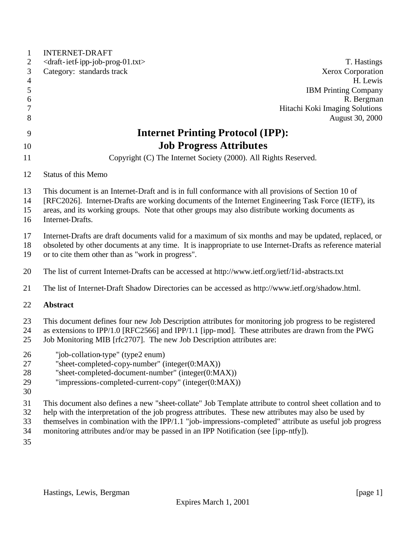| $\mathbf{1}$   | <b>INTERNET-DRAFT</b>                                                                                      |
|----------------|------------------------------------------------------------------------------------------------------------|
| $\overline{2}$ | <draft-ietf-ipp-job-prog-01.txt><br/>T. Hastings</draft-ietf-ipp-job-prog-01.txt>                          |
| 3              | Category: standards track<br>Xerox Corporation                                                             |
| $\overline{4}$ | H. Lewis                                                                                                   |
| $\mathfrak{S}$ | <b>IBM Printing Company</b>                                                                                |
| 6<br>7         | R. Bergman<br>Hitachi Koki Imaging Solutions                                                               |
| 8              | August 30, 2000                                                                                            |
|                |                                                                                                            |
| 9              | <b>Internet Printing Protocol (IPP):</b>                                                                   |
| 10             | <b>Job Progress Attributes</b>                                                                             |
| 11             | Copyright (C) The Internet Society (2000). All Rights Reserved.                                            |
| 12             | Status of this Memo                                                                                        |
| 13             | This document is an Internet-Draft and is in full conformance with all provisions of Section 10 of         |
| 14             | [RFC2026]. Internet-Drafts are working documents of the Internet Engineering Task Force (IETF), its        |
| 15             | areas, and its working groups. Note that other groups may also distribute working documents as             |
| 16             | Internet-Drafts.                                                                                           |
| 17             | Internet-Drafts are draft documents valid for a maximum of six months and may be updated, replaced, or     |
| 18             | obsoleted by other documents at any time. It is inappropriate to use Internet-Drafts as reference material |
| 19             | or to cite them other than as "work in progress".                                                          |
| 20             | The list of current Internet-Drafts can be accessed at http://www.ietf.org/ietf/1id-abstracts.txt          |
| 21             | The list of Internet-Draft Shadow Directories can be accessed as http://www.ietf.org/shadow.html.          |
| 22             | <b>Abstract</b>                                                                                            |
| 23             | This document defines four new Job Description attributes for monitoring job progress to be registered     |
| 24             | as extensions to IPP/1.0 [RFC2566] and IPP/1.1 [ipp-mod]. These attributes are drawn from the PWG          |
| 25             | Job Monitoring MIB [rfc2707]. The new Job Description attributes are:                                      |
| 26             | "job-collation-type" (type2 enum)                                                                          |
| 27             | "sheet-completed-copy-number" (integer(0:MAX))                                                             |
| 28             | "sheet-completed-document-number" (integer(0:MAX))                                                         |
| 29             | "impressions-completed-current-copy" (integer(0:MAX))                                                      |
| 30             |                                                                                                            |
| 31             | This document also defines a new "sheet-collate" Job Template attribute to control sheet collation and to  |
| 32             | help with the interpretation of the job progress attributes. These new attributes may also be used by      |
| 33             | themselves in combination with the IPP/1.1 "job-impressions-completed" attribute as useful job progress    |
| 34             | monitoring attributes and/or may be passed in an IPP Notification (see [ipp-ntfy]).                        |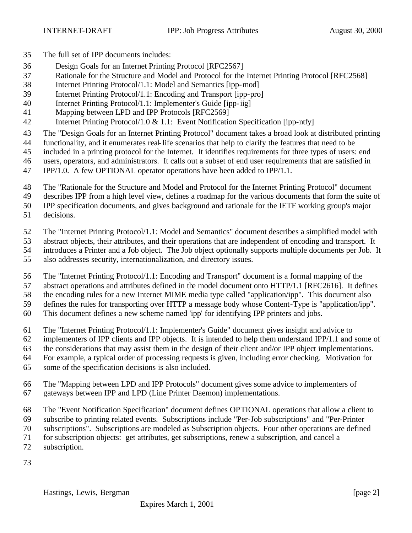- The full set of IPP documents includes:
- Design Goals for an Internet Printing Protocol [RFC2567]
- Rationale for the Structure and Model and Protocol for the Internet Printing Protocol [RFC2568]
- Internet Printing Protocol/1.1: Model and Semantics [ipp-mod]
- Internet Printing Protocol/1.1: Encoding and Transport [ipp-pro]
- Internet Printing Protocol/1.1: Implementer's Guide [ipp-iig]
- Mapping between LPD and IPP Protocols [RFC2569]
- Internet Printing Protocol/1.0 & 1.1: Event Notification Specification [ipp-ntfy]
- The "Design Goals for an Internet Printing Protocol" document takes a broad look at distributed printing
- functionality, and it enumerates real-life scenarios that help to clarify the features that need to be
- included in a printing protocol for the Internet. It identifies requirements for three types of users: end
- users, operators, and administrators. It calls out a subset of end user requirements that are satisfied in
- IPP/1.0. A few OPTIONAL operator operations have been added to IPP/1.1.
- The "Rationale for the Structure and Model and Protocol for the Internet Printing Protocol" document
- describes IPP from a high level view, defines a roadmap for the various documents that form the suite of
- IPP specification documents, and gives background and rationale for the IETF working group's major
- decisions.
- The "Internet Printing Protocol/1.1: Model and Semantics" document describes a simplified model with
- abstract objects, their attributes, and their operations that are independent of encoding and transport. It
- introduces a Printer and a Job object. The Job object optionally supports multiple documents per Job. It
- also addresses security, internationalization, and directory issues.
- The "Internet Printing Protocol/1.1: Encoding and Transport" document is a formal mapping of the
- abstract operations and attributes defined in the model document onto HTTP/1.1 [RFC2616]. It defines
- the encoding rules for a new Internet MIME media type called "application/ipp". This document also
- defines the rules for transporting over HTTP a message body whose Content-Type is "application/ipp".
- This document defines a new scheme named 'ipp' for identifying IPP printers and jobs.
- The "Internet Printing Protocol/1.1: Implementer's Guide" document gives insight and advice to
- implementers of IPP clients and IPP objects. It is intended to help them understand IPP/1.1 and some of
- the considerations that may assist them in the design of their client and/or IPP object implementations.
- For example, a typical order of processing requests is given, including error checking. Motivation for
- some of the specification decisions is also included.
- The "Mapping between LPD and IPP Protocols" document gives some advice to implementers of gateways between IPP and LPD (Line Printer Daemon) implementations.
- The "Event Notification Specification" document defines OPTIONAL operations that allow a client to
- subscribe to printing related events. Subscriptions include "Per-Job subscriptions" and "Per-Printer
- subscriptions". Subscriptions are modeled as Subscription objects. Four other operations are defined
- for subscription objects: get attributes, get subscriptions, renew a subscription, and cancel a
- subscription.
-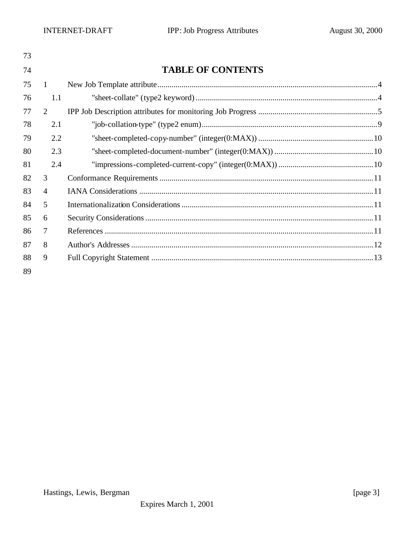| 73 |                |                          |
|----|----------------|--------------------------|
| 74 |                | <b>TABLE OF CONTENTS</b> |
| 75 | $\mathbf{1}$   |                          |
| 76 | 1.1            |                          |
| 77 | 2              |                          |
| 78 | 2.1            |                          |
| 79 | 2.2            |                          |
| 80 | 2.3            |                          |
| 81 | 2.4            |                          |
| 82 | 3              |                          |
| 83 | $\overline{4}$ |                          |
| 84 | 5              |                          |
| 85 | 6              |                          |
| 86 | 7              |                          |
| 87 | 8              |                          |
| 88 | 9              |                          |
| 89 |                |                          |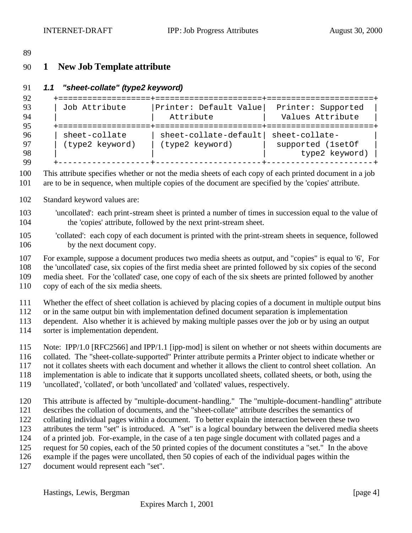### **1 New Job Template attribute**

#### *1.1 "sheet-collate" (type2 keyword)*

```
92 +===================+======================+======================+
      | Job Attribute | Printer: Default Value| Printer: Supported
94 | | Attribute | Values Attribute |
     95 +===================+======================+======================+
96 | sheet-collate | sheet-collate-default| sheet-collate-<br>97 | (type2 keyword) | (type2 keyword) | supported (1se
97 | (type2 keyword) | (type2 keyword) | supported (1setOf |
98 | | | type2 keyword) |
99 +-------------------+----------------------+----------------------+
```
 This attribute specifies whether or not the media sheets of each copy of each printed document in a job are to be in sequence, when multiple copies of the document are specified by the 'copies' attribute.

Standard keyword values are:

 'uncollated': each print-stream sheet is printed a number of times in succession equal to the value of the 'copies' attribute, followed by the next print-stream sheet.

```
105 'collated': each copy of each document is printed with the print-stream sheets in sequence, followed 
106 by the next document copy.
```
For example, suppose a document produces two media sheets as output, and "copies" is equal to '6', For

the 'uncollated' case, six copies of the first media sheet are printed followed by six copies of the second

media sheet. For the 'collated' case, one copy of each of the six sheets are printed followed by another

copy of each of the six media sheets.

Whether the effect of sheet collation is achieved by placing copies of a document in multiple output bins

or in the same output bin with implementation defined document separation is implementation

dependent. Also whether it is achieved by making multiple passes over the job or by using an output

sorter is implementation dependent.

Note: IPP/1.0 [RFC2566] and IPP/1.1 [ipp-mod] is silent on whether or not sheets within documents are

collated. The "sheet-collate-supported" Printer attribute permits a Printer object to indicate whether or

not it collates sheets with each document and whether it allows the client to control sheet collation. An

implementation is able to indicate that it supports uncollated sheets, collated sheets, or both, using the

'uncollated', 'collated', or both 'uncollated' and 'collated' values, respectively.

 This attribute is affected by "multiple-document-handling." The "multiple-document-handling" attribute describes the collation of documents, and the "sheet-collate" attribute describes the semantics of collating individual pages within a document. To better explain the interaction between these two attributes the term "set" is introduced. A "set" is a logical boundary between the delivered media sheets of a printed job. For-example, in the case of a ten page single document with collated pages and a request for 50 copies, each of the 50 printed copies of the document constitutes a "set." In the above example if the pages were uncollated, then 50 copies of each of the individual pages within the

document would represent each "set".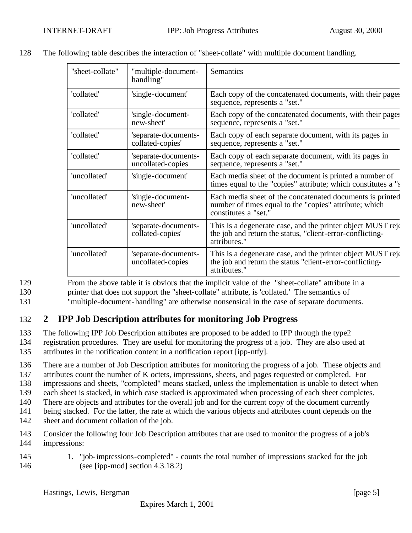| "sheet-collate" | "multiple-document-<br>handling"          | Semantics                                                                                                                                   |
|-----------------|-------------------------------------------|---------------------------------------------------------------------------------------------------------------------------------------------|
| 'collated'      | 'single-document'                         | Each copy of the concatenated documents, with their pages<br>sequence, represents a "set."                                                  |
| 'collated'      | 'single-document-<br>new-sheet'           | Each copy of the concatenated documents, with their pages<br>sequence, represents a "set."                                                  |
| 'collated'      | 'separate-documents-<br>collated-copies'  | Each copy of each separate document, with its pages in<br>sequence, represents a "set."                                                     |
| 'collated'      | 'separate-documents-<br>uncollated-copies | Each copy of each separate document, with its pages in<br>sequence, represents a "set."                                                     |
| 'uncollated'    | 'single-document'                         | Each media sheet of the document is printed a number of<br>times equal to the "copies" attribute; which constitutes a "s                    |
| 'uncollated'    | 'single-document-<br>new-sheet'           | Each media sheet of the concatenated documents is printed<br>number of times equal to the "copies" attribute; which<br>constitutes a "set." |
| 'uncollated'    | 'separate-documents-<br>collated-copies'  | This is a degenerate case, and the printer object MUST reje<br>the job and return the status, "client-error-conflicting-<br>attributes."    |
| 'uncollated'    | 'separate-documents-<br>uncollated-copies | This is a degenerate case, and the printer object MUST reje<br>the job and return the status "client-error-conflicting-<br>attributes."     |

128 The following table describes the interaction of "sheet-collate" with multiple document handling.

129 From the above table it is obvious that the implicit value of the "sheet-collate" attribute in a 130 printer that does not support the "sheet-collate" attribute, is 'collated.' The semantics of

# 131 "multiple-document-handling" are otherwise nonsensical in the case of separate documents.

# 132 **2 IPP Job Description attributes for monitoring Job Progress**

133 The following IPP Job Description attributes are proposed to be added to IPP through the type2

134 registration procedures. They are useful for monitoring the progress of a job. They are also used at

135 attributes in the notification content in a notification report [ipp-ntfy].

136 There are a number of Job Description attributes for monitoring the progress of a job. These objects and

137 attributes count the number of K octets, impressions, sheets, and pages requested or completed. For

138 impressions and sheets, "completed" means stacked, unless the implementation is unable to detect when

139 each sheet is stacked, in which case stacked is approximated when processing of each sheet completes.

140 There are objects and attributes for the overall job and for the current copy of the document currently

141 being stacked. For the latter, the rate at which the various objects and attributes count depends on the

- 142 sheet and document collation of the job.
- 143 Consider the following four Job Description attributes that are used to monitor the progress of a job's 144 impressions:
- 145 1. "job-impressions-completed" counts the total number of impressions stacked for the job 146 (see [ipp-mod] section 4.3.18.2)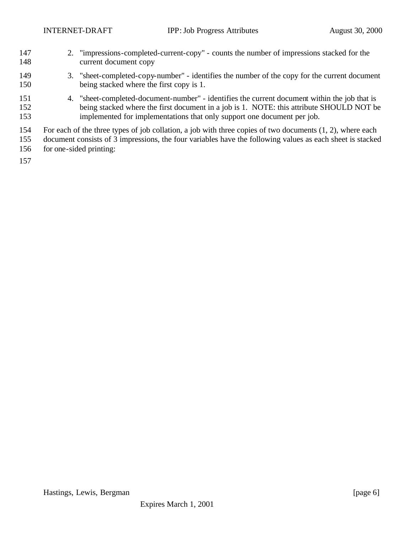- 2. "impressions-completed-current-copy" counts the number of impressions stacked for the current document copy
- 3. "sheet-completed-copy-number" identifies the number of the copy for the current document being stacked where the first copy is 1.
- 4. "sheet-completed-document-number" identifies the current document within the job that is 152 being stacked where the first document in a job is 1. NOTE: this attribute SHOULD NOT be implemented for implementations that only support one document per job.
- For each of the three types of job collation, a job with three copies of two documents (1, 2), where each
- document consists of 3 impressions, the four variables have the following values as each sheet is stacked
- for one-sided printing: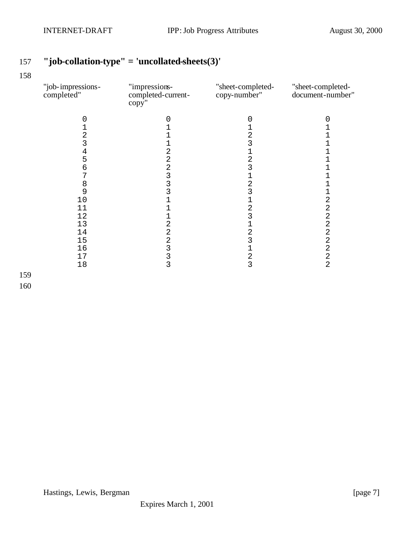# **"job-collation-type" = 'uncollated-sheets(3)'**

| "job-impressions-<br>completed" | "impressions-<br>completed-current-<br>copy'' | "sheet-completed-<br>copy-number" | "sheet-completed-<br>document-number"      |
|---------------------------------|-----------------------------------------------|-----------------------------------|--------------------------------------------|
| 0                               | 0                                             | 0                                 | 0                                          |
| 1                               |                                               |                                   |                                            |
| $\overline{\mathbf{c}}$         |                                               | 2                                 |                                            |
| 3                               |                                               | 3                                 |                                            |
|                                 | $\overline{c}$                                | 1                                 |                                            |
| $\frac{4}{5}$                   |                                               | $\overline{\mathbf{c}}$           |                                            |
| 6                               |                                               | 3                                 |                                            |
| 7                               |                                               | 1                                 |                                            |
| 8                               | 2<br>2<br>3<br>3<br>3                         | $\overline{c}$                    |                                            |
| 9                               |                                               | 3                                 |                                            |
| 10                              |                                               |                                   | $\overline{c}$                             |
| 11                              |                                               | 2                                 | $\overline{a}$                             |
| 12                              |                                               | 3                                 | $\overline{c}$                             |
| 13                              |                                               | 1                                 |                                            |
| 14                              | 2223333                                       | $\overline{c}$                    | $\begin{array}{c} 2 \\ 2 \\ 2 \end{array}$ |
| 15                              |                                               | 3                                 |                                            |
| 16                              |                                               | 1                                 | $\overline{a}$                             |
| 17                              |                                               | $\frac{2}{3}$                     | $\overline{a}$                             |
| 18                              |                                               |                                   | $\overline{2}$                             |
|                                 |                                               |                                   |                                            |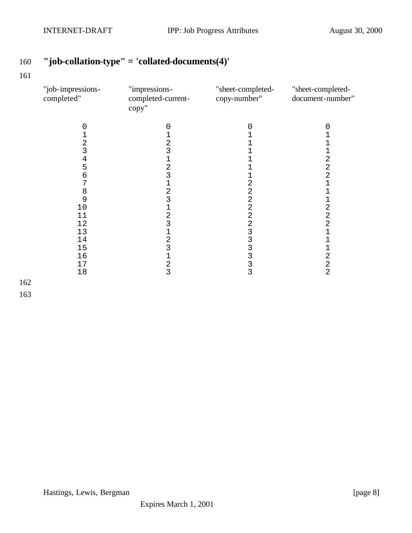# **"job-collation-type" = 'collated-documents(4)'**

| "job-impressions-<br>completed" | "impressions-<br>completed-current-<br>copy" | "sheet-completed-<br>copy-number" | "sheet-completed-<br>document-number" |
|---------------------------------|----------------------------------------------|-----------------------------------|---------------------------------------|
|                                 | O                                            |                                   |                                       |
|                                 |                                              |                                   |                                       |
| 2                               | 2                                            |                                   |                                       |
| 3                               | 3                                            |                                   |                                       |
| 4                               |                                              |                                   | 2                                     |
| 5                               | $\overline{2}$                               |                                   | $\overline{a}$                        |
| 6                               | 3                                            |                                   | $\overline{2}$                        |
| 7                               |                                              | 2                                 | $\overline{1}$                        |
| 8                               | 2                                            | 2                                 |                                       |
| 9                               | 3                                            | 2                                 | 1                                     |
| 10                              |                                              | 2                                 | 2                                     |
| 11                              | $\overline{c}$                               | 2                                 | 2                                     |
| 12                              | 3                                            | 2                                 | $\overline{c}$                        |
| 13                              |                                              | 3                                 | 1                                     |
| 14                              | 2                                            | 3                                 |                                       |
| 15                              | 3                                            | 3                                 | 1                                     |
| 16                              |                                              | 3                                 | $\overline{a}$                        |
| 17                              | 2                                            |                                   | $\overline{\mathbf{c}}$               |
| 18                              | 3                                            | $\frac{3}{3}$                     | $\overline{a}$                        |
|                                 |                                              |                                   |                                       |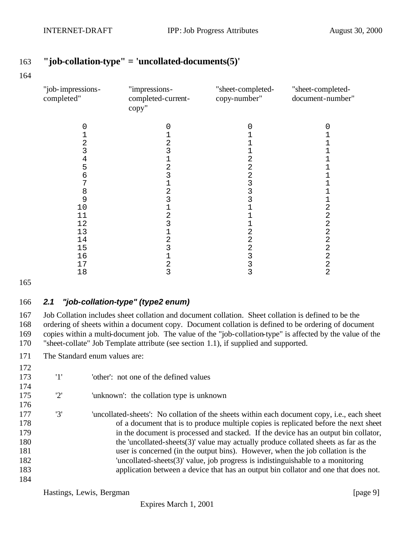#### **"job-collation-type" = 'uncollated-documents(5)'**

| "job-impressions-<br>completed" | "impressions-<br>completed-current-<br>copy" | "sheet-completed-<br>copy-number" | "sheet-completed-<br>document-number" |
|---------------------------------|----------------------------------------------|-----------------------------------|---------------------------------------|
|                                 |                                              |                                   |                                       |
|                                 |                                              |                                   |                                       |
| 2                               | 2                                            |                                   |                                       |
| 3                               | 3                                            |                                   |                                       |
| 4                               |                                              |                                   |                                       |
| 5                               | 2                                            | 2                                 |                                       |
| 6                               |                                              |                                   |                                       |
|                                 |                                              |                                   |                                       |
| 8                               | 2                                            |                                   |                                       |
| 9                               | 3                                            |                                   |                                       |
| 10                              |                                              |                                   | $\overline{c}$                        |
| 11                              | 2                                            |                                   | 2                                     |
| 12                              | 3                                            |                                   | 2                                     |
| 13                              |                                              |                                   | 2                                     |
| 14                              | 2                                            | 2                                 | 2                                     |
| 15                              |                                              |                                   | 2                                     |
| 16                              |                                              |                                   | 2                                     |
| 17                              | 2                                            |                                   | 2                                     |
| 18                              | 3                                            | 3                                 | $\overline{a}$                        |

#### *2.1 "job-collation-type" (type2 enum)*

 Job Collation includes sheet collation and document collation. Sheet collation is defined to be the ordering of sheets within a document copy. Document collation is defined to be ordering of document copies within a multi-document job. The value of the "job-collation-type" is affected by the value of the "sheet-collate" Job Template attribute (see section 1.1), if supplied and supported.

The Standard enum values are:

| 172 |     |                                                                                                     |
|-----|-----|-----------------------------------------------------------------------------------------------------|
| 173 | '1' | 'other': not one of the defined values                                                              |
| 174 |     |                                                                                                     |
| 175 | '2' | 'unknown': the collation type is unknown                                                            |
| 176 |     |                                                                                                     |
| 177 | '3' | 'uncollated-sheets': No collation of the sheets within each document copy, <i>i.e.</i> , each sheet |
| 178 |     | of a document that is to produce multiple copies is replicated before the next sheet                |
| 179 |     | in the document is processed and stacked. If the device has an output bin collator,                 |
| 180 |     | the 'uncollated-sheets $(3)$ ' value may actually produce collated sheets as far as the             |
| 181 |     | user is concerned (in the output bins). However, when the job collation is the                      |
| 182 |     | 'uncollated-sheets $(3)$ ' value, job progress is indistinguishable to a monitoring                 |
| 183 |     | application between a device that has an output bin collator and one that does not.                 |
| 184 |     |                                                                                                     |

Hastings, Lewis, Bergman [page 9]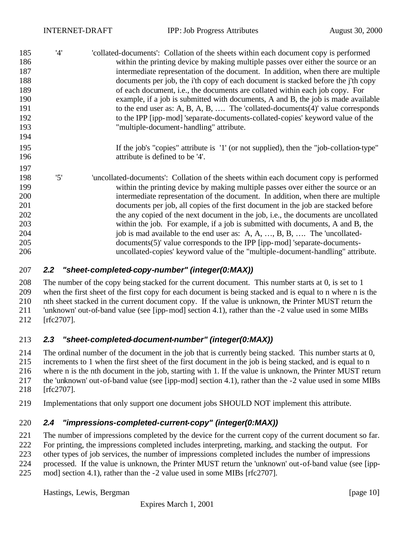| 185 | '4' | collated-documents': Collation of the sheets within each document copy is performed     |
|-----|-----|-----------------------------------------------------------------------------------------|
| 186 |     | within the printing device by making multiple passes over either the source or an       |
| 187 |     | intermediate representation of the document. In addition, when there are multiple       |
| 188 |     | documents per job, the i'th copy of each document is stacked before the j'th copy       |
| 189 |     | of each document, i.e., the documents are collated within each job copy. For            |
| 190 |     | example, if a job is submitted with documents, A and B, the job is made available       |
| 191 |     | to the end user as: A, B, A, B,  The 'collated-documents $(4)$ ' value corresponds      |
| 192 |     | to the IPP [ipp-mod] 'separate-documents-collated-copies' keyword value of the          |
| 193 |     | "multiple-document-handling" attribute.                                                 |
| 194 |     |                                                                                         |
| 195 |     | If the job's "copies" attribute is '1' (or not supplied), then the "job-collation-type" |
| 196 |     | attribute is defined to be '4'.                                                         |
| 197 |     |                                                                                         |
| 198 | '5' | 'uncollated-documents': Collation of the sheets within each document copy is performed  |
| 199 |     | within the printing device by making multiple passes over either the source or an       |
| 200 |     | intermediate representation of the document. In addition, when there are multiple       |
| 201 |     | documents per job, all copies of the first document in the job are stacked before       |
| 202 |     | the any copied of the next document in the job, i.e., the documents are uncollated      |
| 203 |     | within the job. For example, if a job is submitted with documents, A and B, the         |
| 204 |     | job is mad available to the end user as: A, A, , B, B,  The 'uncollated-                |
| 205 |     | documents(5)' value corresponds to the IPP [ipp-mod] 'separate-documents-               |
| 206 |     | uncollated-copies' keyword value of the "multiple-document-handling" attribute.         |
|     |     |                                                                                         |

#### *2.2 "sheet-completed-copy-number" (integer(0:MAX))*

 The number of the copy being stacked for the current document. This number starts at 0, is set to 1 when the first sheet of the first copy for each document is being stacked and is equal to n where n is the nth sheet stacked in the current document copy. If the value is unknown, the Printer MUST return the 'unknown' out-of-band value (see [ipp-mod] section 4.1), rather than the -2 value used in some MIBs [rfc2707].

#### *2.3 "sheet-completed-document-number" (integer(0:MAX))*

 The ordinal number of the document in the job that is currently being stacked. This number starts at 0, increments to 1 when the first sheet of the first document in the job is being stacked, and is equal to n where n is the nth document in the job, starting with 1. If the value is unknown, the Printer MUST return the 'unknown' out-of-band value (see [ipp-mod] section 4.1), rather than the -2 value used in some MIBs [rfc2707].

Implementations that only support one document jobs SHOULD NOT implement this attribute.

#### *2.4 "impressions-completed-current-copy" (integer(0:MAX))*

The number of impressions completed by the device for the current copy of the current document so far.

For printing, the impressions completed includes interpreting, marking, and stacking the output. For

other types of job services, the number of impressions completed includes the number of impressions

processed. If the value is unknown, the Printer MUST return the 'unknown' out-of-band value (see [ipp-

mod] section 4.1), rather than the -2 value used in some MIBs [rfc2707].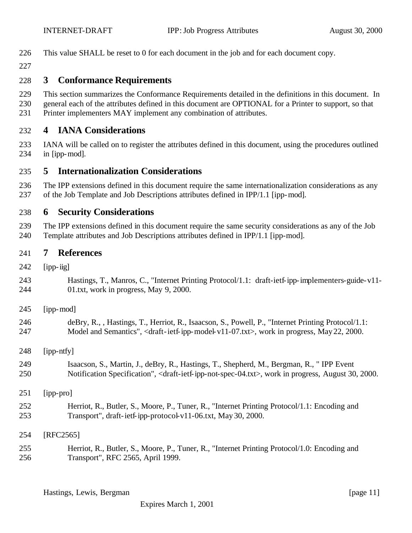This value SHALL be reset to 0 for each document in the job and for each document copy.

### **3 Conformance Requirements**

- This section summarizes the Conformance Requirements detailed in the definitions in this document. In
- general each of the attributes defined in this document are OPTIONAL for a Printer to support, so that
- Printer implementers MAY implement any combination of attributes.

#### **4 IANA Considerations**

- IANA will be called on to register the attributes defined in this document, using the procedures outlined in [ipp-mod].
- **5 Internationalization Considerations**
- The IPP extensions defined in this document require the same internationalization considerations as any of the Job Template and Job Descriptions attributes defined in IPP/1.1 [ipp-mod].

#### **6 Security Considerations**

 The IPP extensions defined in this document require the same security considerations as any of the Job Template attributes and Job Descriptions attributes defined in IPP/1.1 [ipp-mod].

#### **7 References**

- [ipp-iig]
- Hastings, T., Manros, C., "Internet Printing Protocol/1.1: draft-ietf-ipp-implementers-guide-v11- 01.txt, work in progress, May 9, 2000.
- [ipp-mod]
- deBry, R., , Hastings, T., Herriot, R., Isaacson, S., Powell, P., "Internet Printing Protocol/1.1: 247 Model and Semantics", <draft-ietf-ipp-model-v11-07.txt>, work in progress, May 22, 2000.
- [ipp-ntfy]
- Isaacson, S., Martin, J., deBry, R., Hastings, T., Shepherd, M., Bergman, R., " IPP Event Notification Specification", <draft-ietf-ipp-not-spec-04.txt>, work in progress, August 30, 2000.
- [ipp-pro]
- Herriot, R., Butler, S., Moore, P., Tuner, R., "Internet Printing Protocol/1.1: Encoding and Transport", draft-ietf-ipp-protocol-v11-06.txt, May 30, 2000.
- [RFC2565]
- Herriot, R., Butler, S., Moore, P., Tuner, R., "Internet Printing Protocol/1.0: Encoding and Transport", RFC 2565, April 1999.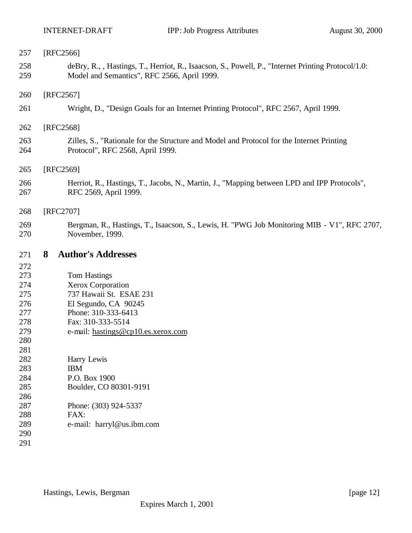| 257        | [RFC2566]                                                                                                                                         |
|------------|---------------------------------------------------------------------------------------------------------------------------------------------------|
| 258<br>259 | deBry, R., , Hastings, T., Herriot, R., Isaacson, S., Powell, P., "Internet Printing Protocol/1.0:<br>Model and Semantics", RFC 2566, April 1999. |
| 260        | [RFC2567]                                                                                                                                         |
| 261        | Wright, D., "Design Goals for an Internet Printing Protocol", RFC 2567, April 1999.                                                               |
| 262        | [RFC2568]                                                                                                                                         |
| 263<br>264 | Zilles, S., "Rationale for the Structure and Model and Protocol for the Internet Printing<br>Protocol", RFC 2568, April 1999.                     |
| 265        | [RFC2569]                                                                                                                                         |
| 266<br>267 | Herriot, R., Hastings, T., Jacobs, N., Martin, J., "Mapping between LPD and IPP Protocols",<br>RFC 2569, April 1999.                              |
| 268        | [RFC2707]                                                                                                                                         |
| 269<br>270 | Bergman, R., Hastings, T., Isaacson, S., Lewis, H. "PWG Job Monitoring MIB - V1", RFC 2707,<br>November, 1999.                                    |
| 271        | 8<br><b>Author's Addresses</b>                                                                                                                    |
| 272        |                                                                                                                                                   |
| 273        | Tom Hastings                                                                                                                                      |
| 274<br>275 | Xerox Corporation<br>737 Hawaii St. ESAE 231                                                                                                      |
| 276        | El Segundo, CA 90245                                                                                                                              |
| 277        | Phone: 310-333-6413                                                                                                                               |
| 278        | Fax: 310-333-5514                                                                                                                                 |
| 279        | e-mail: hastings@cp10.es.xerox.com                                                                                                                |
| 280        |                                                                                                                                                   |
| 281        |                                                                                                                                                   |
| 282        |                                                                                                                                                   |
|            |                                                                                                                                                   |
| 283        | Harry Lewis<br><b>IBM</b>                                                                                                                         |
| 284        | P.O. Box 1900                                                                                                                                     |
| 285        | Boulder, CO 80301-9191                                                                                                                            |
| 286        |                                                                                                                                                   |
| 287        | Phone: (303) 924-5337                                                                                                                             |
| 288        | FAX:                                                                                                                                              |
| 289        | e-mail: harryl@us.ibm.com                                                                                                                         |
| 290<br>291 |                                                                                                                                                   |